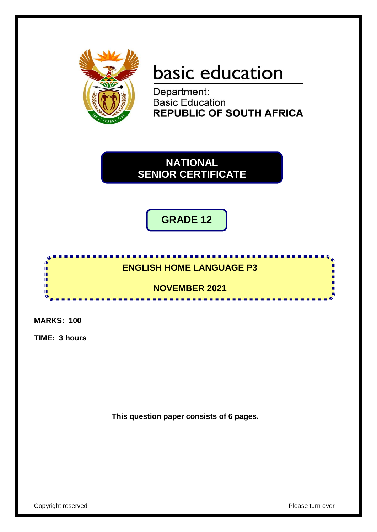

# **basic education**

Department: **Basic Education REPUBLIC OF SOUTH AFRICA** 

**NATIONAL SENIOR CERTIFICATE**

**GRADE 12**



**MARKS: 100**

**TIME: 3 hours**

**This question paper consists of 6 pages.**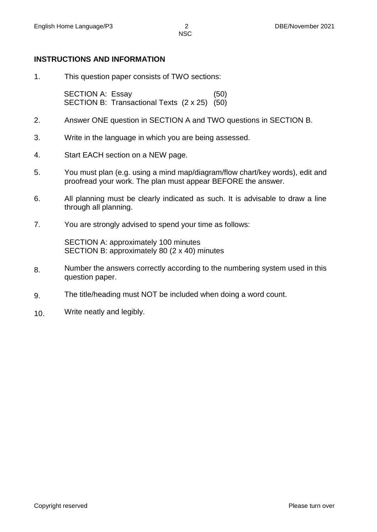#### **INSTRUCTIONS AND INFORMATION**

1. This question paper consists of TWO sections:

SECTION A: Essay (50) SECTION B: Transactional Texts (2 x 25) (50)

- 2. Answer ONE question in SECTION A and TWO questions in SECTION B.
- 3. Write in the language in which you are being assessed.
- 4. Start EACH section on a NEW page.
- 5. You must plan (e.g. using a mind map/diagram/flow chart/key words), edit and proofread your work. The plan must appear BEFORE the answer.
- 6. All planning must be clearly indicated as such. It is advisable to draw a line through all planning.
- 7. You are strongly advised to spend your time as follows:

SECTION A: approximately 100 minutes SECTION B: approximately 80 (2 x 40) minutes

- 8. Number the answers correctly according to the numbering system used in this question paper.
- 9. The title/heading must NOT be included when doing a word count.
- 10. Write neatly and legibly.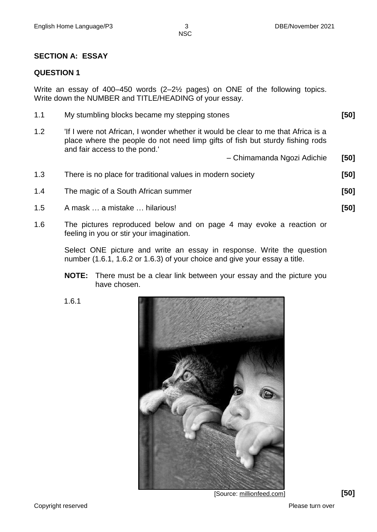NSC

#### **SECTION A: ESSAY**

#### **QUESTION 1**

Write an essay of 400–450 words (2–2½ pages) on ONE of the following topics. Write down the NUMBER and TITLE/HEADING of your essay.

| 1.1 | My stumbling blocks became my stepping stones                                    | [50] |
|-----|----------------------------------------------------------------------------------|------|
| 1.2 | If I were not African, I wonder whether it would be clear to me that Africa is a |      |

place where the people do not need limp gifts of fish but sturdy fishing rods and fair access to the pond.' – Chimamanda Ngozi Adichie **[50]**

| 1.3 | There is no place for traditional values in modern society | [50] |
|-----|------------------------------------------------------------|------|
| 1.4 | The magic of a South African summer                        | [50] |
| 1.5 | A mask  a mistake  hilarious!                              | [50] |

1.6 The pictures reproduced below and on page 4 may evoke a reaction or feeling in you or stir your imagination.

> Select ONE picture and write an essay in response. Write the question number (1.6.1, 1.6.2 or 1.6.3) of your choice and give your essay a title.

- **NOTE:** There must be a clear link between your essay and the picture you have chosen.
- 1.6.1



[Source: millionfeed.com] **[50]**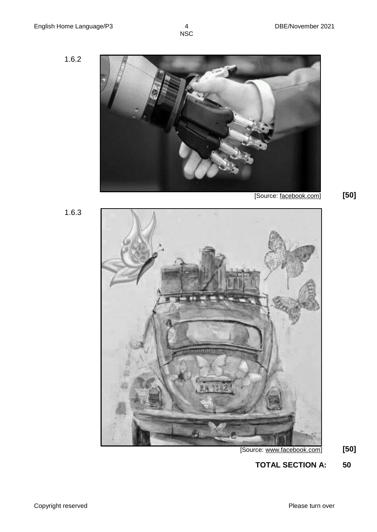1.6.2



1.6.3



[Source: www.facebook.com] **[50]**

**TOTAL SECTION A: 50**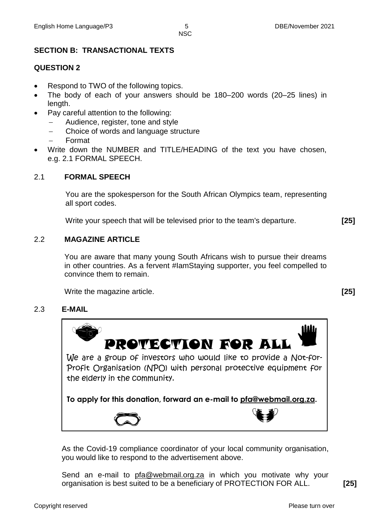**NSC** 

# **SECTION B: TRANSACTIONAL TEXTS**

## **QUESTION 2**

- Respond to TWO of the following topics.
- The body of each of your answers should be 180–200 words (20–25 lines) in length.
- Pay careful attention to the following:
	- Audience, register, tone and style
	- Choice of words and language structure
	- Format
- Write down the NUMBER and TITLE/HEADING of the text you have chosen, e.g. 2.1 FORMAL SPEECH.

#### 2.1 **FORMAL SPEECH**

You are the spokesperson for the South African Olympics team, representing all sport codes.

Write your speech that will be televised prior to the team's departure. **[25]**

## 2.2 **MAGAZINE ARTICLE**

You are aware that many young South Africans wish to pursue their dreams in other countries. As a fervent #IamStaying supporter, you feel compelled to convince them to remain.

Write the magazine article. **[25]**

## 2.3 **E-MAIL**



As the Covid-19 compliance coordinator of your local community organisation, you would like to respond to the advertisement above.

Send an e-mail to [pfa@webmail.org.za](mailto:pfa@webmail.org.za) in which you motivate why your organisation is best suited to be a beneficiary of PROTECTION FOR ALL. **[25]**